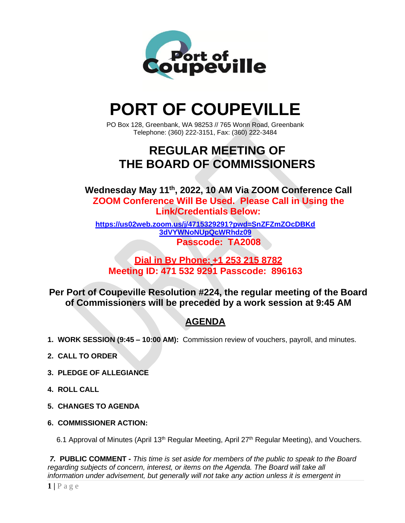

# **PORT OF COUPEVILLE**

PO Box 128, Greenbank, WA 98253 // 765 Wonn Road, Greenbank Telephone: (360) 222-3151, Fax: (360) 222-3484

# **REGULAR MEETING OF THE BOARD OF COMMISSIONERS**

**Wednesday May 11th , 2022, 10 AM Via ZOOM Conference Call ZOOM Conference Will Be Used. Please Call in Using the Link/Credentials Below:**

**[https://us02web.zoom.us/j/4715329291?pwd=SnZFZmZOcDBKd](https://us02web.zoom.us/j/4715329291?pwd=SnZFZmZOcDBKd3dVYWNoNUpQcWRhdz09) [3dVYWNoNUpQcWRhdz09](https://us02web.zoom.us/j/4715329291?pwd=SnZFZmZOcDBKd3dVYWNoNUpQcWRhdz09) Passcode: TA2008**

### **Dial in By Phone: +1 253 215 8782 Meeting ID: 471 532 9291 Passcode: 896163**

**Per Port of Coupeville Resolution #224, the regular meeting of the Board of Commissioners will be preceded by a work session at 9:45 AM**

## **AGENDA**

- **1. WORK SESSION (9:45 – 10:00 AM):** Commission review of vouchers, payroll, and minutes.
- **2. CALL TO ORDER**
- **3. PLEDGE OF ALLEGIANCE**
- **4. ROLL CALL**
- **5. CHANGES TO AGENDA**
- **6. COMMISSIONER ACTION:**

6.1 Approval of Minutes (April 13<sup>th</sup> Regular Meeting, April 27<sup>th</sup> Regular Meeting), and Vouchers.

*7.* **PUBLIC COMMENT -** *This time is set aside for members of the public to speak to the Board regarding subjects of concern, interest, or items on the Agenda. The Board will take all information under advisement, but generally will not take any action unless it is emergent in*